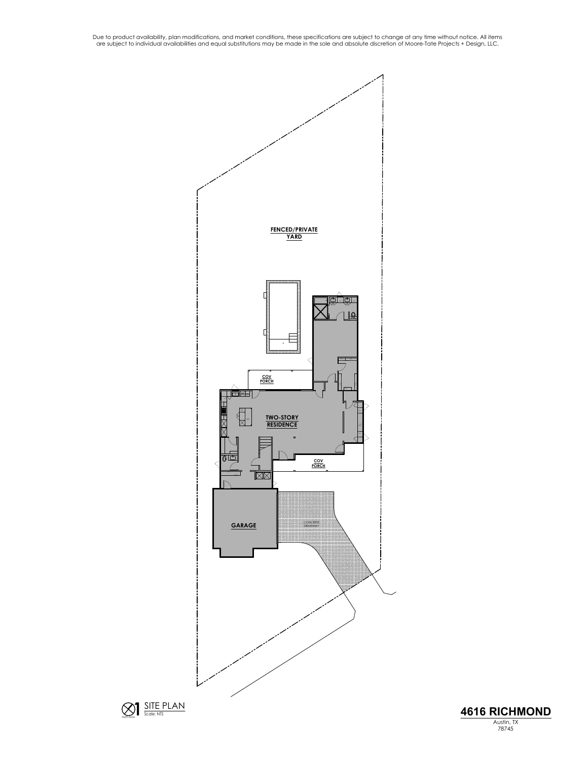





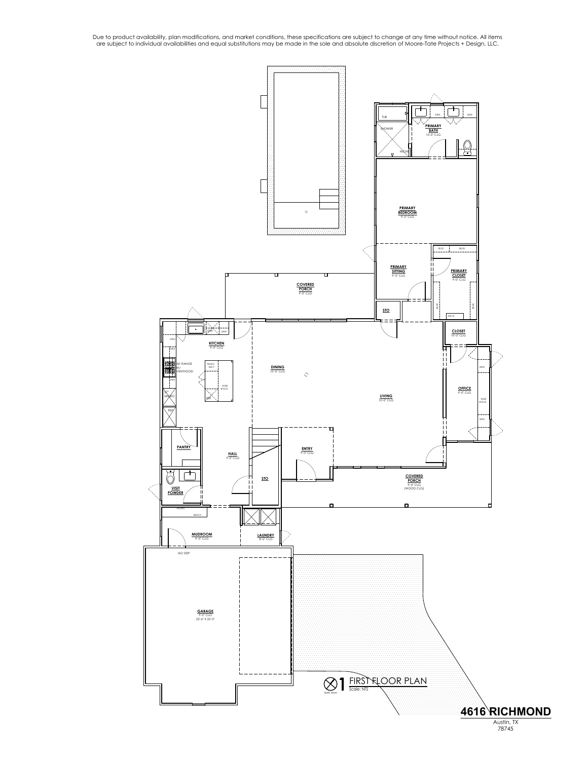Due to product availability, plan modifications, and market conditions, these specifications are subject to change at any time without notice. All items<br>are subject to individual availabilities and equal substitutions may